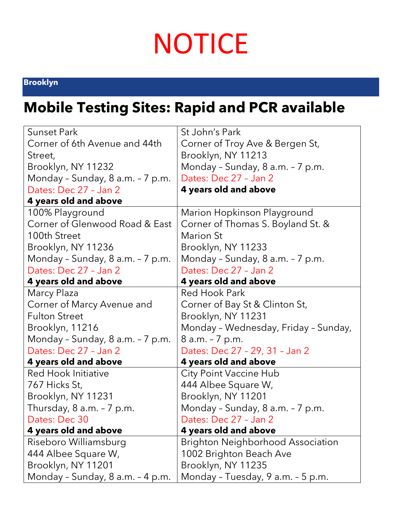## **NOTICE**

## **[Brooklyn](https://www.nychealthandhospitals.org/covid-19-testing-sites/#locationMenu)**

## **Mobile Testing Sites: Rapid and PCR available**

| <b>Sunset Park</b>               | St John's Park                       |
|----------------------------------|--------------------------------------|
| Corner of 6th Avenue and 44th    | Corner of Troy Ave & Bergen St,      |
| Street,                          | Brooklyn, NY 11213                   |
| Brooklyn, NY 11232               | Monday - Sunday, 8 a.m. - 7 p.m.     |
| Monday - Sunday, 8 a.m. - 7 p.m. | Dates: Dec 27 - Jan 2                |
| Dates: Dec 27 - Jan 2            | 4 years old and above                |
| 4 years old and above            |                                      |
| 100% Playground                  | Marion Hopkinson Playground          |
| Corner of Glenwood Road & East   | Corner of Thomas S. Boyland St. &    |
| 100th Street                     | <b>Marion St</b>                     |
| Brooklyn, NY 11236               | Brooklyn, NY 11233                   |
| Monday - Sunday, 8 a.m. - 7 p.m. | Monday - Sunday, 8 a.m. - 7 p.m.     |
| Dates: Dec 27 - Jan 2            | Dates: Dec 27 - Jan 2                |
| 4 years old and above            | 4 years old and above                |
| Marcy Plaza                      | Red Hook Park                        |
| Corner of Marcy Avenue and       | Corner of Bay St & Clinton St,       |
| <b>Fulton Street</b>             | Brooklyn, NY 11231                   |
| Brooklyn, 11216                  | Monday - Wednesday, Friday - Sunday, |
| Monday - Sunday, 8 a.m. - 7 p.m. | 8 a.m. - 7 p.m.                      |
| Dates: Dec 27 - Jan 2            | Dates: Dec 27 - 29, 31 - Jan 2       |
| 4 years old and above            | 4 years old and above                |
| Red Hook Initiative              | City Point Vaccine Hub               |
| 767 Hicks St,                    | 444 Albee Square W,                  |
| Brooklyn, NY 11231               | Brooklyn, NY 11201                   |
| Thursday, $8$ a.m. $-7$ p.m.     | Monday - Sunday, 8 a.m. - 7 p.m.     |
| Dates: Dec 30                    | Dates: Dec 27 - Jan 2                |
| 4 years old and above            | 4 years old and above                |
| Riseboro Williamsburg            | Brighton Neighborhood Association    |
| 444 Albee Square W,              | 1002 Brighton Beach Ave              |
| Brooklyn, NY 11201               | Brooklyn, NY 11235                   |
| Monday - Sunday, 8 a.m. - 4 p.m. | Monday - Tuesday, 9 a.m. - 5 p.m.    |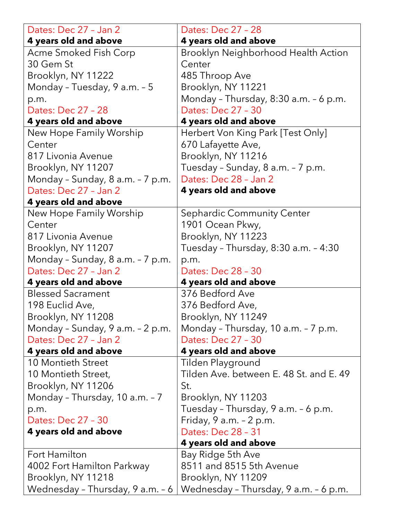| Dates: Dec 27 - Jan 2                              | Dates: Dec 27 - 28                                             |
|----------------------------------------------------|----------------------------------------------------------------|
| 4 years old and above                              | 4 years old and above                                          |
| Acme Smoked Fish Corp                              | Brooklyn Neighborhood Health Action                            |
| 30 Gem St                                          | Center                                                         |
| Brooklyn, NY 11222                                 | 485 Throop Ave                                                 |
| Monday - Tuesday, 9 a.m. - 5                       | Brooklyn, NY 11221                                             |
| p.m.                                               | Monday - Thursday, 8:30 a.m. - 6 p.m.                          |
| Dates: Dec 27 - 28                                 | Dates: Dec 27 - 30                                             |
| 4 years old and above                              | 4 years old and above                                          |
| New Hope Family Worship                            | Herbert Von King Park [Test Only]                              |
| Center                                             | 670 Lafayette Ave,                                             |
| 817 Livonia Avenue                                 | Brooklyn, NY 11216                                             |
| Brooklyn, NY 11207                                 | Tuesday - Sunday, 8 a.m. - 7 p.m.                              |
| Monday - Sunday, 8 a.m. - 7 p.m.                   | Dates: Dec 28 - Jan 2                                          |
| Dates: Dec 27 - Jan 2                              | 4 years old and above                                          |
| 4 years old and above                              |                                                                |
| New Hope Family Worship                            | Sephardic Community Center                                     |
| Center                                             | 1901 Ocean Pkwy,                                               |
| 817 Livonia Avenue                                 | Brooklyn, NY 11223                                             |
| Brooklyn, NY 11207                                 | Tuesday - Thursday, 8:30 a.m. - 4:30                           |
| Monday - Sunday, 8 a.m. - 7 p.m.                   | p.m.                                                           |
| Dates: Dec 27 - Jan 2                              | Dates: Dec 28 - 30                                             |
| 4 years old and above                              | 4 years old and above                                          |
| <b>Blessed Sacrament</b>                           | 376 Bedford Ave                                                |
| 198 Euclid Ave,                                    | 376 Bedford Ave,                                               |
| Brooklyn, NY 11208                                 | Brooklyn, NY 11249                                             |
| Monday - Sunday, 9 a.m. - 2 p.m.                   | Monday - Thursday, 10 a.m. - 7 p.m.                            |
| Dates: Dec 27 - Jan 2                              | Dates: Dec 27 - 30                                             |
| 4 years old and above<br><b>10 Montieth Street</b> | 4 years old and above                                          |
| 10 Montieth Street,                                | Tilden Playground<br>Tilden Ave. between E. 48 St. and E. 49   |
| Brooklyn, NY 11206                                 | St.                                                            |
|                                                    |                                                                |
| Monday - Thursday, 10 a.m. - 7                     | Brooklyn, NY 11203                                             |
| p.m.<br>Dates: Dec 27 - 30                         | Tuesday - Thursday, 9 a.m. - 6 p.m.<br>Friday, 9 a.m. - 2 p.m. |
| 4 years old and above                              | Dates: Dec 28 - 31                                             |
|                                                    | 4 years old and above                                          |
| Fort Hamilton                                      | Bay Ridge 5th Ave                                              |
| 4002 Fort Hamilton Parkway                         | 8511 and 8515 5th Avenue                                       |
| Brooklyn, NY 11218                                 | Brooklyn, NY 11209                                             |
| Wednesday - Thursday, 9 a.m. - 6                   | Wednesday - Thursday, 9 a.m. - 6 p.m.                          |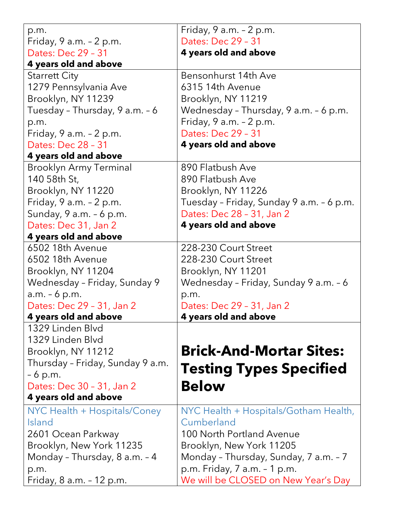| p.m.                                      | Friday, $9$ a.m. $-2$ p.m.               |
|-------------------------------------------|------------------------------------------|
| Friday, $9$ a.m. $-2$ p.m.                | Dates: Dec 29 - 31                       |
| Dates: Dec 29 - 31                        | 4 years old and above                    |
| 4 years old and above                     |                                          |
| <b>Starrett City</b>                      | Bensonhurst 14th Ave                     |
| 1279 Pennsylvania Ave                     | 6315 14th Avenue                         |
| Brooklyn, NY 11239                        | Brooklyn, NY 11219                       |
| Tuesday - Thursday, 9 a.m. - 6            | Wednesday - Thursday, 9 a.m. - 6 p.m.    |
| p.m.                                      | Friday, 9 a.m. - 2 p.m.                  |
| Friday, 9 a.m. - 2 p.m.                   | Dates: Dec 29 - 31                       |
| Dates: Dec 28 - 31                        | 4 years old and above                    |
| 4 years old and above                     |                                          |
| <b>Brooklyn Army Terminal</b>             | 890 Flatbush Ave                         |
| 140 58th St,                              | 890 Flatbush Ave                         |
| Brooklyn, NY 11220                        | Brooklyn, NY 11226                       |
| Friday, 9 a.m. - 2 p.m.                   | Tuesday - Friday, Sunday 9 a.m. - 6 p.m. |
| Sunday, 9 a.m. - 6 p.m.                   | Dates: Dec 28 - 31, Jan 2                |
| Dates: Dec 31, Jan 2                      | 4 years old and above                    |
| 4 years old and above                     |                                          |
| 6502 18th Avenue                          | 228-230 Court Street                     |
| 6502 18th Avenue                          | 228-230 Court Street                     |
| Brooklyn, NY 11204                        | Brooklyn, NY 11201                       |
| Wednesday - Friday, Sunday 9              | Wednesday - Friday, Sunday 9 a.m. - 6    |
| $a.m. - 6 p.m.$                           | p.m.                                     |
| Dates: Dec 29 - 31, Jan 2                 | Dates: Dec 29 - 31, Jan 2                |
| 4 years old and above<br>1329 Linden Blvd | 4 years old and above                    |
| 1329 Linden Blvd                          |                                          |
| Brooklyn, NY 11212                        | <b>Brick-And-Mortar Sites:</b>           |
| Thursday - Friday, Sunday 9 a.m.          |                                          |
| - 6 p.m.                                  | <b>Testing Types Specified</b>           |
| Dates: Dec 30 - 31, Jan 2                 | <b>Below</b>                             |
| 4 years old and above                     |                                          |
| NYC Health + Hospitals/Coney              | NYC Health + Hospitals/Gotham Health,    |
| Island                                    | Cumberland                               |
| 2601 Ocean Parkway                        | 100 North Portland Avenue                |
| Brooklyn, New York 11235                  | Brooklyn, New York 11205                 |
| Monday - Thursday, 8 a.m. - 4             | Monday - Thursday, Sunday, 7 a.m. - 7    |
| p.m.                                      | p.m. Friday, 7 a.m. - 1 p.m.             |
| Friday, 8 a.m. - 12 p.m.                  | We will be CLOSED on New Year's Day      |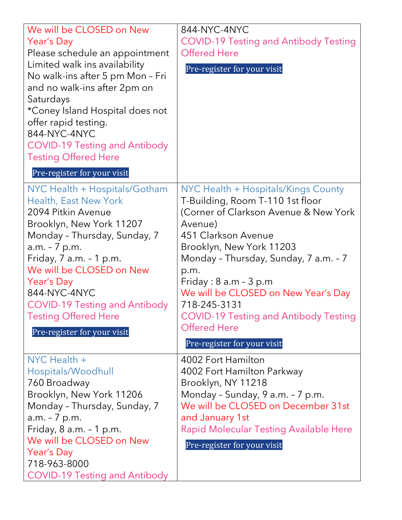| We will be CLOSED on New<br>Year's Day<br>Please schedule an appointment<br>Limited walk ins availability<br>No walk-ins after 5 pm Mon - Fri<br>and no walk-ins after 2pm on<br>Saturdays<br>*Coney Island Hospital does not<br>offer rapid testing.<br>844-NYC-4NYC<br><b>COVID-19 Testing and Antibody</b><br><b>Testing Offered Here</b>                                           | 844-NYC-4NYC<br><b>COVID-19 Testing and Antibody Testing</b><br><b>Offered Here</b><br>Pre-register for your visit                                                                                                                                                                                                                                                                                                        |
|----------------------------------------------------------------------------------------------------------------------------------------------------------------------------------------------------------------------------------------------------------------------------------------------------------------------------------------------------------------------------------------|---------------------------------------------------------------------------------------------------------------------------------------------------------------------------------------------------------------------------------------------------------------------------------------------------------------------------------------------------------------------------------------------------------------------------|
| Pre-register for your visit<br>NYC Health + Hospitals/Gotham<br>Health, East New York<br>2094 Pitkin Avenue<br>Brooklyn, New York 11207<br>Monday - Thursday, Sunday, 7<br>a.m. - 7 p.m.<br>Friday, $7$ a.m. $-1$ p.m.<br>We will be CLOSED on New<br>Year's Day<br>844-NYC-4NYC<br><b>COVID-19 Testing and Antibody</b><br><b>Testing Offered Here</b><br>Pre-register for your visit | NYC Health + Hospitals/Kings County<br>T-Building, Room T-110 1st floor<br>(Corner of Clarkson Avenue & New York<br>Avenue)<br>451 Clarkson Avenue<br>Brooklyn, New York 11203<br>Monday - Thursday, Sunday, 7 a.m. - 7<br>p.m.<br>Friday: $8$ a.m $-$ 3 p.m<br>We will be CLOSED on New Year's Day<br>718-245-3131<br><b>COVID-19 Testing and Antibody Testing</b><br><b>Offered Here</b><br>Pre-register for your visit |
| NYC Health +<br>Hospitals/Woodhull<br>760 Broadway<br>Brooklyn, New York 11206<br>Monday - Thursday, Sunday, 7<br>a.m. - 7 p.m.<br>Friday, $8$ a.m. $-1$ p.m.<br>We will be CLOSED on New<br>Year's Day<br>718-963-8000<br><b>COVID-19 Testing and Antibody</b>                                                                                                                        | 4002 Fort Hamilton<br>4002 Fort Hamilton Parkway<br>Brooklyn, NY 11218<br>Monday - Sunday, 9 a.m. - 7 p.m.<br>We will be CLOSED on December 31st<br>and January 1st<br>Rapid Molecular Testing Available Here<br>Pre-register for your visit                                                                                                                                                                              |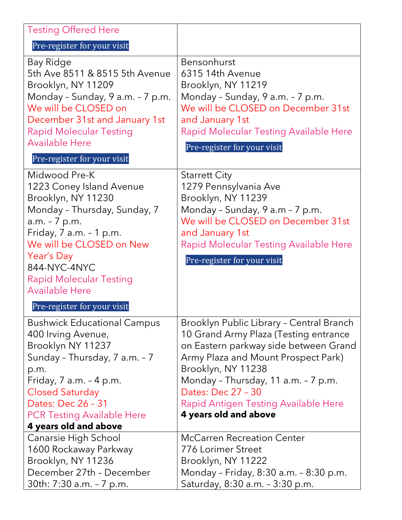| <b>Testing Offered Here</b>                                                                                                                                                                                                                                                                                                                                    |                                                                                                                                                                                                                                                                                                                                                                                                                                                         |
|----------------------------------------------------------------------------------------------------------------------------------------------------------------------------------------------------------------------------------------------------------------------------------------------------------------------------------------------------------------|---------------------------------------------------------------------------------------------------------------------------------------------------------------------------------------------------------------------------------------------------------------------------------------------------------------------------------------------------------------------------------------------------------------------------------------------------------|
| Pre-register for your visit                                                                                                                                                                                                                                                                                                                                    |                                                                                                                                                                                                                                                                                                                                                                                                                                                         |
| Bay Ridge<br>5th Ave 8511 & 8515 5th Avenue<br>Brooklyn, NY 11209<br>Monday - Sunday, 9 a.m. - 7 p.m.<br>We will be CLOSED on<br>December 31st and January 1st<br><b>Rapid Molecular Testing</b><br><b>Available Here</b><br>Pre-register for your visit                                                                                                       | Bensonhurst<br>6315 14th Avenue<br>Brooklyn, NY 11219<br>Monday - Sunday, 9 a.m. - 7 p.m.<br>We will be CLOSED on December 31st<br>and January 1st<br>Rapid Molecular Testing Available Here<br>Pre-register for your visit                                                                                                                                                                                                                             |
| Midwood Pre-K<br>1223 Coney Island Avenue<br>Brooklyn, NY 11230<br>Monday - Thursday, Sunday, 7<br>a.m. - 7 p.m.<br>Friday, $7$ a.m. $-1$ p.m.<br>We will be CLOSED on New<br>Year's Day<br>844-NYC-4NYC<br><b>Rapid Molecular Testing</b><br><b>Available Here</b><br>Pre-register for your visit                                                             | <b>Starrett City</b><br>1279 Pennsylvania Ave<br>Brooklyn, NY 11239<br>Monday - Sunday, 9 a.m - 7 p.m.<br>We will be CLOSED on December 31st<br>and January 1st<br>Rapid Molecular Testing Available Here<br>Pre-register for your visit                                                                                                                                                                                                                |
| Bushwick Educational Campus<br>400 Irving Avenue,<br>Brooklyn NY 11237<br>Sunday - Thursday, 7 a.m. - 7<br>p.m.<br>Friday, $7$ a.m. $-4$ p.m.<br><b>Closed Saturday</b><br>Dates: Dec 26 - 31<br><b>PCR Testing Available Here</b><br>4 years old and above<br>Canarsie High School<br>1600 Rockaway Parkway<br>Brooklyn, NY 11236<br>December 27th - December | Brooklyn Public Library - Central Branch<br>10 Grand Army Plaza (Testing entrance<br>on Eastern parkway side between Grand<br>Army Plaza and Mount Prospect Park)<br>Brooklyn, NY 11238<br>Monday - Thursday, 11 a.m. - 7 p.m.<br>Dates: Dec 27 - 30<br>Rapid Antigen Testing Available Here<br>4 years old and above<br><b>McCarren Recreation Center</b><br><b>776 Lorimer Street</b><br>Brooklyn, NY 11222<br>Monday - Friday, 8:30 a.m. - 8:30 p.m. |
| 30th: 7:30 a.m. - 7 p.m.                                                                                                                                                                                                                                                                                                                                       | Saturday, 8:30 a.m. - 3:30 p.m.                                                                                                                                                                                                                                                                                                                                                                                                                         |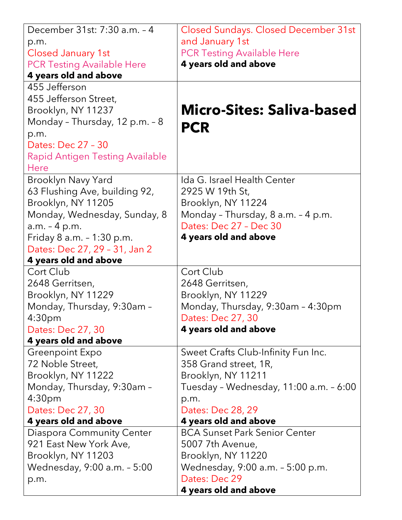| December 31st: 7:30 a.m. - 4                     | <b>Closed Sundays. Closed December 31st</b> |
|--------------------------------------------------|---------------------------------------------|
| p.m.                                             | and January 1st                             |
| Closed January 1st                               | <b>PCR Testing Available Here</b>           |
| <b>PCR Testing Available Here</b>                | 4 years old and above                       |
| 4 years old and above                            |                                             |
| 455 Jefferson                                    |                                             |
| 455 Jefferson Street,                            |                                             |
| Brooklyn, NY 11237                               | <b>Micro-Sites: Saliva-based</b>            |
| Monday - Thursday, 12 p.m. - 8                   | <b>PCR</b>                                  |
| p.m.                                             |                                             |
| Dates: Dec 27 - 30                               |                                             |
| <b>Rapid Antigen Testing Available</b>           |                                             |
| <b>Here</b>                                      |                                             |
| <b>Brooklyn Navy Yard</b>                        | Ida G. Israel Health Center                 |
| 63 Flushing Ave, building 92,                    | 2925 W 19th St,                             |
| Brooklyn, NY 11205                               | Brooklyn, NY 11224                          |
| Monday, Wednesday, Sunday, 8                     | Monday - Thursday, 8 a.m. - 4 p.m.          |
| a.m. - 4 p.m.                                    | Dates: Dec 27 - Dec 30                      |
| Friday 8 a.m. - 1:30 p.m.                        | 4 years old and above                       |
| Dates: Dec 27, 29 - 31, Jan 2                    |                                             |
| 4 years old and above                            |                                             |
| Cort Club                                        | Cort Club                                   |
| 2648 Gerritsen,                                  | 2648 Gerritsen,                             |
| Brooklyn, NY 11229                               | Brooklyn, NY 11229                          |
| Monday, Thursday, 9:30am -                       | Monday, Thursday, 9:30am - 4:30pm           |
| 4:30 <sub>pm</sub>                               | Dates: Dec 27, 30                           |
| Dates: Dec 27, 30                                | 4 years old and above                       |
| 4 years old and above                            |                                             |
| Greenpoint Expo<br>72 Noble Street,              | Sweet Crafts Club-Infinity Fun Inc.         |
|                                                  | 358 Grand street, 1R,                       |
| Brooklyn, NY 11222                               | Brooklyn, NY 11211                          |
| Monday, Thursday, 9:30am -<br>4:30 <sub>pm</sub> | Tuesday - Wednesday, 11:00 a.m. - 6:00      |
| Dates: Dec 27, 30                                | p.m.<br>Dates: Dec 28, 29                   |
| 4 years old and above                            | 4 years old and above                       |
| Diaspora Community Center                        | <b>BCA Sunset Park Senior Center</b>        |
| 921 East New York Ave,                           | 5007 7th Avenue,                            |
| Brooklyn, NY 11203                               | Brooklyn, NY 11220                          |
| Wednesday, 9:00 a.m. - 5:00                      | Wednesday, 9:00 a.m. - 5:00 p.m.            |
| p.m.                                             | Dates: Dec 29                               |
|                                                  | 4 years old and above                       |